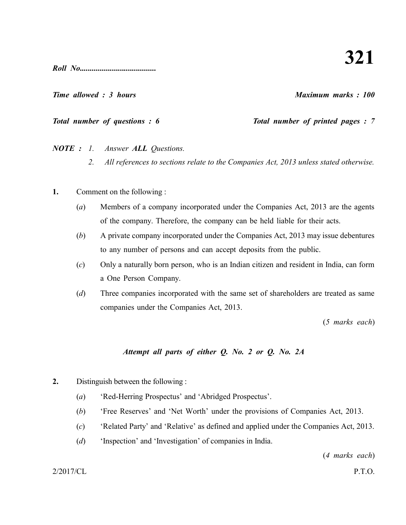*Roll No......................................*

*Time allowed : 3 hours Maximum marks : 100*

*Total number of questions : 6* Total number of printed pages : 7

*NOTE : 1. Answer ALL Questions.*

- *2. All references to sections relate to the Companies Act, 2013 unless stated otherwise.*
- **1.** Comment on the following :
	- (*a*) Members of a company incorporated under the Companies Act, 2013 are the agents of the company. Therefore, the company can be held liable for their acts.
	- (*b*) A private company incorporated under the Companies Act, 2013 may issue debentures to any number of persons and can accept deposits from the public.
	- (*c*) Only a naturally born person, who is an Indian citizen and resident in India, can form a One Person Company.
	- (*d*) Three companies incorporated with the same set of shareholders are treated as same companies under the Companies Act, 2013.

(*5 marks each*)

# *Attempt all parts of either Q. No. 2 or Q. No. 2A*

- **2.** Distinguish between the following :
	- (*a*) 'Red-Herring Prospectus' and 'Abridged Prospectus'.
	- (*b*) 'Free Reserves' and 'Net Worth' under the provisions of Companies Act, 2013.
	- (*c*) 'Related Party' and 'Relative' as defined and applied under the Companies Act, 2013.
	- (*d*) 'Inspection' and 'Investigation' of companies in India.

(*4 marks each*)

2/2017/CL P.T.O.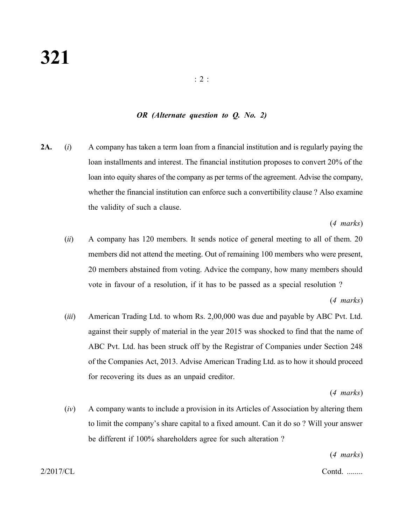#### *OR (Alternate question to Q. No. 2)*

**2A.** (*i*) A company has taken a term loan from a financial institution and is regularly paying the loan installments and interest. The financial institution proposes to convert 20% of the loan into equity shares of the company as per terms of the agreement. Advise the company, whether the financial institution can enforce such a convertibility clause ? Also examine the validity of such a clause.

(*4 marks*)

(*ii*) A company has 120 members. It sends notice of general meeting to all of them. 20 members did not attend the meeting. Out of remaining 100 members who were present, 20 members abstained from voting. Advice the company, how many members should vote in favour of a resolution, if it has to be passed as a special resolution ?

(*4 marks*)

(*iii*) American Trading Ltd. to whom Rs. 2,00,000 was due and payable by ABC Pvt. Ltd. against their supply of material in the year 2015 was shocked to find that the name of ABC Pvt. Ltd. has been struck off by the Registrar of Companies under Section 248 of the Companies Act, 2013. Advise American Trading Ltd. as to how it should proceed for recovering its dues as an unpaid creditor.

(*4 marks*)

(*iv*) A company wants to include a provision in its Articles of Association by altering them to limit the company's share capital to a fixed amount. Can it do so ? Will your answer be different if 100% shareholders agree for such alteration ?

(*4 marks*)

2/2017/CL Contd. ........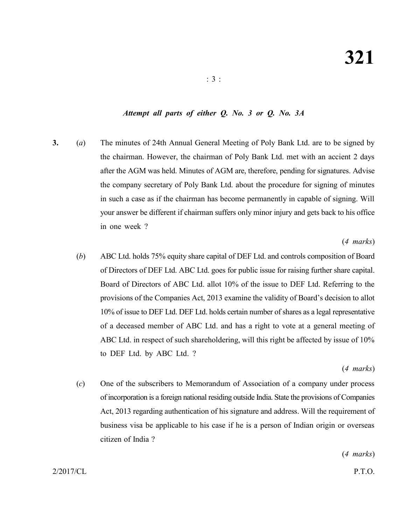# *Attempt all parts of either Q. No. 3 or Q. No. 3A*

**3.** (*a*) The minutes of 24th Annual General Meeting of Poly Bank Ltd. are to be signed by the chairman. However, the chairman of Poly Bank Ltd. met with an accient 2 days after the AGM was held. Minutes of AGM are, therefore, pending for signatures. Advise the company secretary of Poly Bank Ltd. about the procedure for signing of minutes in such a case as if the chairman has become permanently in capable of signing. Will your answer be different if chairman suffers only minor injury and gets back to his office in one week ?

#### (*4 marks*)

(*b*) ABC Ltd. holds 75% equity share capital of DEF Ltd. and controls composition of Board of Directors of DEF Ltd. ABC Ltd. goes for public issue for raising further share capital. Board of Directors of ABC Ltd. allot 10% of the issue to DEF Ltd. Referring to the provisions of the Companies Act, 2013 examine the validity of Board's decision to allot 10% of issue to DEF Ltd. DEF Ltd. holds certain number of shares as a legal representative of a deceased member of ABC Ltd. and has a right to vote at a general meeting of ABC Ltd. in respect of such shareholdering, will this right be affected by issue of 10% to DEF Ltd. by ABC Ltd. ?

#### (*4 marks*)

(*c*) One of the subscribers to Memorandum of Association of a company under process of incorporation is a foreign national residing outside India. State the provisions of Companies Act, 2013 regarding authentication of his signature and address. Will the requirement of business visa be applicable to his case if he is a person of Indian origin or overseas citizen of India ?

(*4 marks*)

2/2017/CL P.T.O.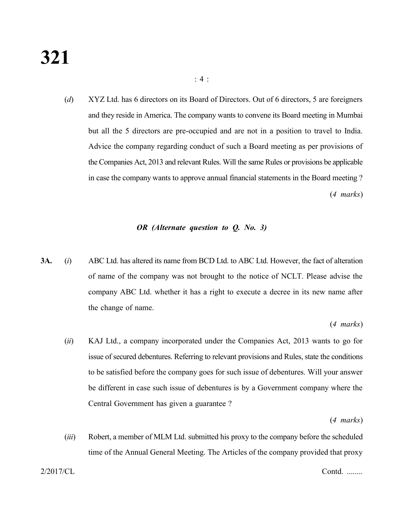(*d*) XYZ Ltd. has 6 directors on its Board of Directors. Out of 6 directors, 5 are foreigners and they reside in America. The company wants to convene its Board meeting in Mumbai but all the 5 directors are pre-occupied and are not in a position to travel to India. Advice the company regarding conduct of such a Board meeting as per provisions of the Companies Act, 2013 and relevant Rules. Will the same Rules or provisions be applicable in case the company wants to approve annual financial statements in the Board meeting ? (*4 marks*)

### *OR (Alternate question to Q. No. 3)*

**3A.** (*i*) ABC Ltd. has altered its name from BCD Ltd. to ABC Ltd. However, the fact of alteration of name of the company was not brought to the notice of NCLT. Please advise the company ABC Ltd. whether it has a right to execute a decree in its new name after the change of name.

(*4 marks*)

(*ii*) KAJ Ltd., a company incorporated under the Companies Act, 2013 wants to go for issue of secured debentures. Referring to relevant provisions and Rules, state the conditions to be satisfied before the company goes for such issue of debentures. Will your answer be different in case such issue of debentures is by a Government company where the Central Government has given a guarantee ?

(*4 marks*)

(*iii*) Robert, a member of MLM Ltd. submitted his proxy to the company before the scheduled time of the Annual General Meeting. The Articles of the company provided that proxy

2/2017/CL Contd. ........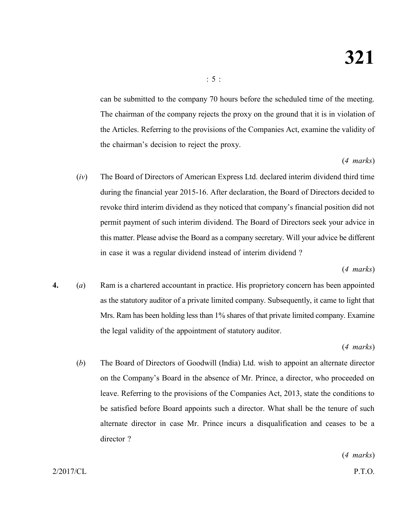can be submitted to the company 70 hours before the scheduled time of the meeting. The chairman of the company rejects the proxy on the ground that it is in violation of the Articles. Referring to the provisions of the Companies Act, examine the validity of the chairman's decision to reject the proxy.

# (*4 marks*)

(*iv*) The Board of Directors of American Express Ltd. declared interim dividend third time during the financial year 2015-16. After declaration, the Board of Directors decided to revoke third interim dividend as they noticed that company's financial position did not permit payment of such interim dividend. The Board of Directors seek your advice in this matter. Please advise the Board as a company secretary. Will your advice be different in case it was a regular dividend instead of interim dividend ?

(*4 marks*)

**4.** (*a*) Ram is a chartered accountant in practice. His proprietory concern has been appointed as the statutory auditor of a private limited company. Subsequently, it came to light that Mrs. Ram has been holding less than 1% shares of that private limited company. Examine the legal validity of the appointment of statutory auditor.

# (*4 marks*)

(*b*) The Board of Directors of Goodwill (India) Ltd. wish to appoint an alternate director on the Company's Board in the absence of Mr. Prince, a director, who proceeded on leave. Referring to the provisions of the Companies Act, 2013, state the conditions to be satisfied before Board appoints such a director. What shall be the tenure of such alternate director in case Mr. Prince incurs a disqualification and ceases to be a director ?

(*4 marks*)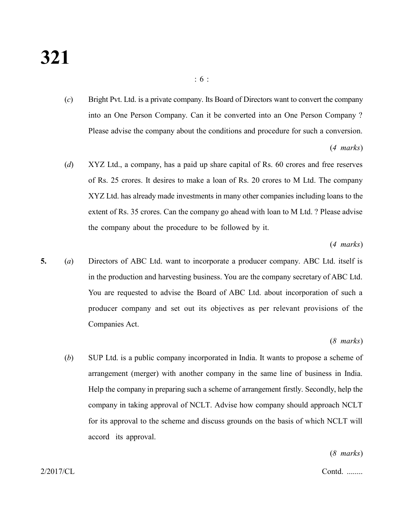(*c*) Bright Pvt. Ltd. is a private company. Its Board of Directors want to convert the company into an One Person Company. Can it be converted into an One Person Company ? Please advise the company about the conditions and procedure for such a conversion.

(*4 marks*)

(*d*) XYZ Ltd., a company, has a paid up share capital of Rs. 60 crores and free reserves of Rs. 25 crores. It desires to make a loan of Rs. 20 crores to M Ltd. The company XYZ Ltd. has already made investments in many other companies including loans to the extent of Rs. 35 crores. Can the company go ahead with loan to M Ltd. ? Please advise the company about the procedure to be followed by it.

#### (*4 marks*)

**5.** (*a*) Directors of ABC Ltd. want to incorporate a producer company. ABC Ltd. itself is in the production and harvesting business. You are the company secretary of ABC Ltd. You are requested to advise the Board of ABC Ltd. about incorporation of such a producer company and set out its objectives as per relevant provisions of the Companies Act.

#### (*8 marks*)

(*b*) SUP Ltd. is a public company incorporated in India. It wants to propose a scheme of arrangement (merger) with another company in the same line of business in India. Help the company in preparing such a scheme of arrangement firstly. Secondly, help the company in taking approval of NCLT. Advise how company should approach NCLT for its approval to the scheme and discuss grounds on the basis of which NCLT will accord its approval.

(*8 marks*)

2/2017/CL Contd. ........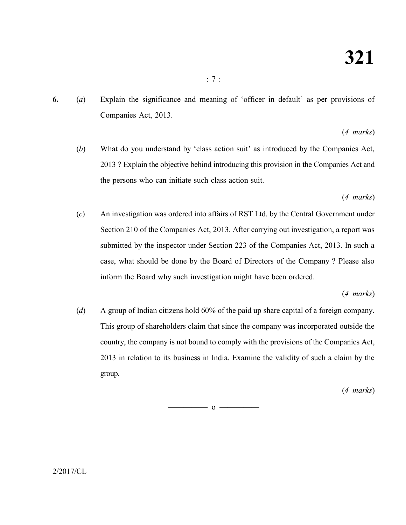**6.** (*a*) Explain the significance and meaning of 'officer in default' as per provisions of Companies Act, 2013.

# (*4 marks*)

(*b*) What do you understand by 'class action suit' as introduced by the Companies Act, 2013 ? Explain the objective behind introducing this provision in the Companies Act and the persons who can initiate such class action suit.

# (*4 marks*)

(*c*) An investigation was ordered into affairs of RST Ltd. by the Central Government under Section 210 of the Companies Act, 2013. After carrying out investigation, a report was submitted by the inspector under Section 223 of the Companies Act, 2013. In such a case, what should be done by the Board of Directors of the Company ? Please also inform the Board why such investigation might have been ordered.

# (*4 marks*)

(*d*) A group of Indian citizens hold 60% of the paid up share capital of a foreign company. This group of shareholders claim that since the company was incorporated outside the country, the company is not bound to comply with the provisions of the Companies Act, 2013 in relation to its business in India. Examine the validity of such a claim by the group.

# (*4 marks*)

 $\overline{\hspace{1.5cm}}$  0  $\overline{\hspace{1.5cm}}$ 

 $2/2017$ /CL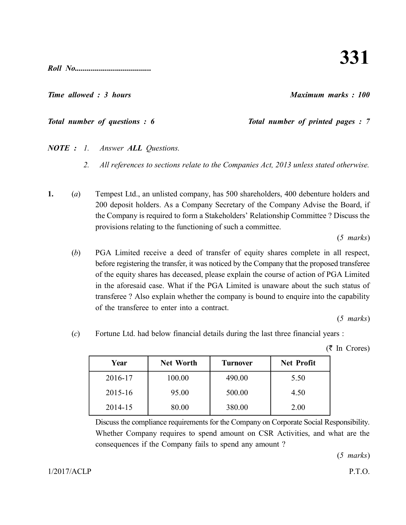**331**

*Roll No......................................*

# *Time allowed : 3 hours Maximum marks : 100*

# *NOTE : 1. Answer ALL Questions.*

- *2. All references to sections relate to the Companies Act, 2013 unless stated otherwise.*
- **1.** (*a*) Tempest Ltd., an unlisted company, has 500 shareholders, 400 debenture holders and 200 deposit holders. As a Company Secretary of the Company Advise the Board, if the Company is required to form a Stakeholders' Relationship Committee ? Discuss the provisions relating to the functioning of such a committee.

(*5 marks*)

(*b*) PGA Limited receive a deed of transfer of equity shares complete in all respect, before registering the transfer, it was noticed by the Company that the proposed transferee of the equity shares has deceased, please explain the course of action of PGA Limited in the aforesaid case. What if the PGA Limited is unaware about the such status of transferee ? Also explain whether the company is bound to enquire into the capability of the transferee to enter into a contract.

(*5 marks*)

(*c*) Fortune Ltd. had below financial details during the last three financial years :

Year | Net Worth | Turnover | Net Profit

2016-17 100.00 490.00 5.50

consequences if the Company fails to spend any amount ?

 $(5 \text{ In Crores})$ 

| $2015 - 16$                                                                             | 95.00 | 500.00 | 4.50 |  |  |  |
|-----------------------------------------------------------------------------------------|-------|--------|------|--|--|--|
| 2014-15                                                                                 | 80.00 | 380.00 | 2.00 |  |  |  |
| Discuss the compliance requirements for the Company on Corporate Social Responsibility. |       |        |      |  |  |  |
| Whether Company requires to spend amount on CSR Activities, and what are the            |       |        |      |  |  |  |

(*5 marks*)

# *Total number of questions : 6* Total number of printed pages : 7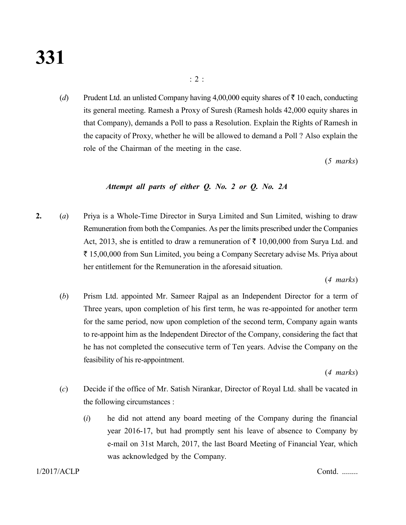(*d*) Prudent Ltd. an unlisted Company having 4,00,000 equity shares of  $\bar{\tau}$  10 each, conducting its general meeting. Ramesh a Proxy of Suresh (Ramesh holds 42,000 equity shares in that Company), demands a Poll to pass a Resolution. Explain the Rights of Ramesh in the capacity of Proxy, whether he will be allowed to demand a Poll ? Also explain the role of the Chairman of the meeting in the case.

(*5 marks*)

# *Attempt all parts of either Q. No. 2 or Q. No. 2A*

**2.** (*a*) Priya is a Whole-Time Director in Surya Limited and Sun Limited, wishing to draw Remuneration from both the Companies. As per the limits prescribed under the Companies Act, 2013, she is entitled to draw a remuneration of  $\bar{\tau}$  10,00,000 from Surya Ltd. and ` 15,00,000 from Sun Limited, you being a Company Secretary advise Ms. Priya about her entitlement for the Remuneration in the aforesaid situation.

(*4 marks*)

(*b*) Prism Ltd. appointed Mr. Sameer Rajpal as an Independent Director for a term of Three years, upon completion of his first term, he was re-appointed for another term for the same period, now upon completion of the second term, Company again wants to re-appoint him as the Independent Director of the Company, considering the fact that he has not completed the consecutive term of Ten years. Advise the Company on the feasibility of his re-appointment.

(*4 marks*)

- (*c*) Decide if the office of Mr. Satish Nirankar, Director of Royal Ltd. shall be vacated in the following circumstances :
	- (*i*) he did not attend any board meeting of the Company during the financial year 2016-17, but had promptly sent his leave of absence to Company by e-mail on 31st March, 2017, the last Board Meeting of Financial Year, which was acknowledged by the Company.

1/2017/ACLP Contd. ........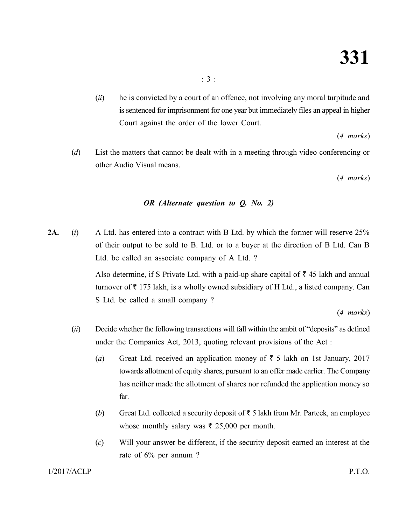(*ii*) he is convicted by a court of an offence, not involving any moral turpitude and is sentenced for imprisonment for one year but immediately files an appeal in higher Court against the order of the lower Court.

(*4 marks*)

(*d*) List the matters that cannot be dealt with in a meeting through video conferencing or other Audio Visual means.

(*4 marks*)

# *OR (Alternate question to Q. No. 2)*

**2A.** (*i*) A Ltd. has entered into a contract with B Ltd. by which the former will reserve 25% of their output to be sold to B. Ltd. or to a buyer at the direction of B Ltd. Can B Ltd. be called an associate company of A Ltd. ?

> Also determine, if S Private Ltd. with a paid-up share capital of  $\bar{\tau}$  45 lakh and annual turnover of  $\bar{\tau}$  175 lakh, is a wholly owned subsidiary of H Ltd., a listed company. Can S Ltd. be called a small company ?

> > (*4 marks*)

- (*ii*) Decide whether the following transactions will fall within the ambit of "deposits" as defined under the Companies Act, 2013, quoting relevant provisions of the Act :
	- (*a*) Great Ltd. received an application money of  $\bar{\tau}$  5 lakh on 1st January, 2017 towards allotment of equity shares, pursuant to an offer made earlier. The Company has neither made the allotment of shares nor refunded the application money so far.
	- (*b*) Great Ltd. collected a security deposit of  $\bar{\tau}$  5 lakh from Mr. Parteek, an employee whose monthly salary was  $\bar{\tau}$  25,000 per month.
	- (*c*) Will your answer be different, if the security deposit earned an interest at the rate of 6% per annum ?

# 1/2017/ACLP P.T.O.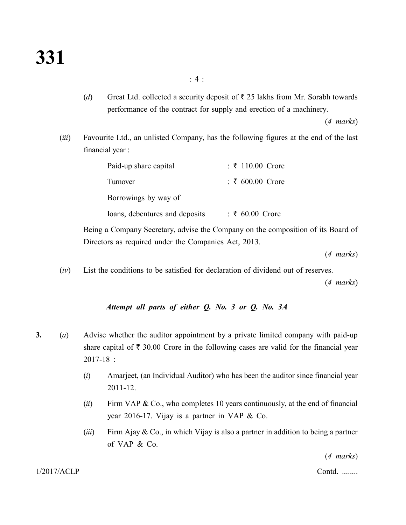(*d*) Great Ltd. collected a security deposit of  $\bar{\tau}$  25 lakhs from Mr. Sorabh towards performance of the contract for supply and erection of a machinery.

(*4 marks*)

(*iii*) Favourite Ltd., an unlisted Company, has the following figures at the end of the last financial year :

| Paid-up share capital          | : ₹ 110.00 Crore   |  |  |  |
|--------------------------------|--------------------|--|--|--|
| Turnover                       | $: ₹ 600.00$ Crore |  |  |  |
| Borrowings by way of           |                    |  |  |  |
| loans, debentures and deposits | $: ₹ 60.00$ Crore  |  |  |  |

Being a Company Secretary, advise the Company on the composition of its Board of Directors as required under the Companies Act, 2013.

(*4 marks*)

(*iv*) List the conditions to be satisfied for declaration of dividend out of reserves.

(*4 marks*)

### *Attempt all parts of either Q. No. 3 or Q. No. 3A*

- **3.** (*a*) Advise whether the auditor appointment by a private limited company with paid-up share capital of  $\bar{\tau}$  30.00 Crore in the following cases are valid for the financial year 2017-18 :
	- (*i*) Amarjeet, (an Individual Auditor) who has been the auditor since financial year 2011-12.
	- (*ii*) Firm VAP & Co., who completes 10 years continuously, at the end of financial year 2016-17. Vijay is a partner in VAP & Co.
	- (*iii*) Firm Ajay & Co., in which Vijay is also a partner in addition to being a partner of VAP & Co.

(*4 marks*)

1/2017/ACLP Contd. ........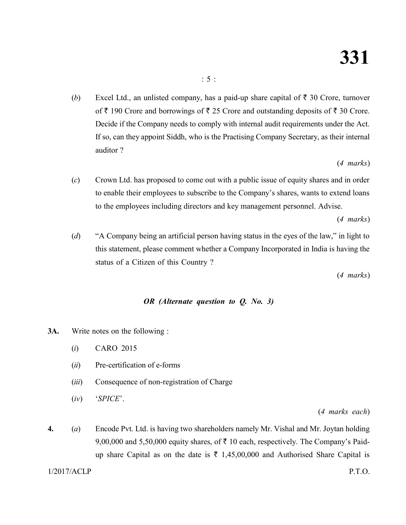(*b*) Excel Ltd., an unlisted company, has a paid-up share capital of  $\bar{\tau}$  30 Crore, turnover of  $\bar{\tau}$  190 Crore and borrowings of  $\bar{\tau}$  25 Crore and outstanding deposits of  $\bar{\tau}$  30 Crore. Decide if the Company needs to comply with internal audit requirements under the Act. If so, can they appoint Siddh, who is the Practising Company Secretary, as their internal auditor ?

(*4 marks*)

(*c*) Crown Ltd. has proposed to come out with a public issue of equity shares and in order to enable their employees to subscribe to the Company's shares, wants to extend loans to the employees including directors and key management personnel. Advise.

(*4 marks*)

(*d*) "A Company being an artificial person having status in the eyes of the law," in light to this statement, please comment whether a Company Incorporated in India is having the status of a Citizen of this Country ?

(*4 marks*)

# *OR (Alternate question to Q. No. 3)*

- **3A.** Write notes on the following :
	- (*i*) CARO 2015
	- (*ii*) Pre-certification of e-forms
	- (*iii*) Consequence of non-registration of Charge
	- (*iv*) '*SPICE*'.

(*4 marks each*)

**4.** (*a*) Encode Pvt. Ltd. is having two shareholders namely Mr. Vishal and Mr. Joytan holding 9,00,000 and 5,50,000 equity shares, of  $\bar{\tau}$  10 each, respectively. The Company's Paidup share Capital as on the date is  $\bar{\tau}$  1,45,00,000 and Authorised Share Capital is

1/2017/ACLP P.T.O.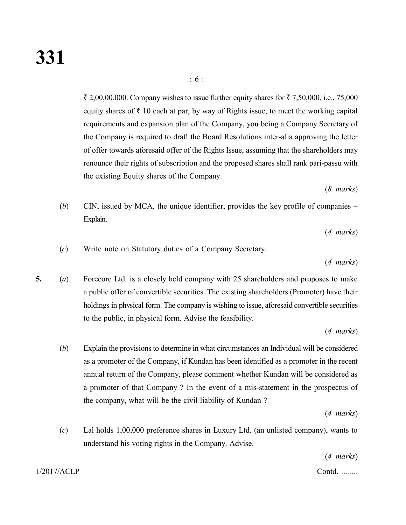$\bar{\tau}$  2,00,00,000. Company wishes to issue further equity shares for  $\bar{\tau}$  7,50,000, i.e., 75,000 equity shares of  $\bar{\tau}$  10 each at par, by way of Rights issue, to meet the working capital requirements and expansion plan of the Company, you being a Company Secretary of the Company is required to draft the Board Resolutions inter-alia approving the letter of offer towards aforesaid offer of the Rights Issue, assuming that the shareholders may renounce their rights of subscription and the proposed shares shall rank pari-passu with the existing Equity shares of the Company.

: 6 :

(*8 marks*)

(*b*) CIN, issued by MCA, the unique identifier, provides the key profile of companies – Explain.

(*4 marks*)

(*c*) Write note on Statutory duties of a Company Secretary.

(*4 marks*)

**5.** (*a*) Forecore Ltd. is a closely held company with 25 shareholders and proposes to make a public offer of convertible securities. The existing shareholders (Promoter) have their holdings in physical form. The company is wishing to issue, aforesaid convertible securities to the public, in physical form. Advise the feasibility.

(*4 marks*)

(*b*) Explain the provisions to determine in what circumstances an Individual will be considered as a promoter of the Company, if Kundan has been identified as a promoter in the recent annual return of the Company, please comment whether Kundan will be considered as a promoter of that Company ? In the event of a mis-statement in the prospectus of the company, what will be the civil liability of Kundan ?

(*4 marks*)

(*c*) Lal holds 1,00,000 preference shares in Luxury Ltd. (an unlisted company), wants to understand his voting rights in the Company. Advise.

(*4 marks*)

1/2017/ACLP Contd. ........